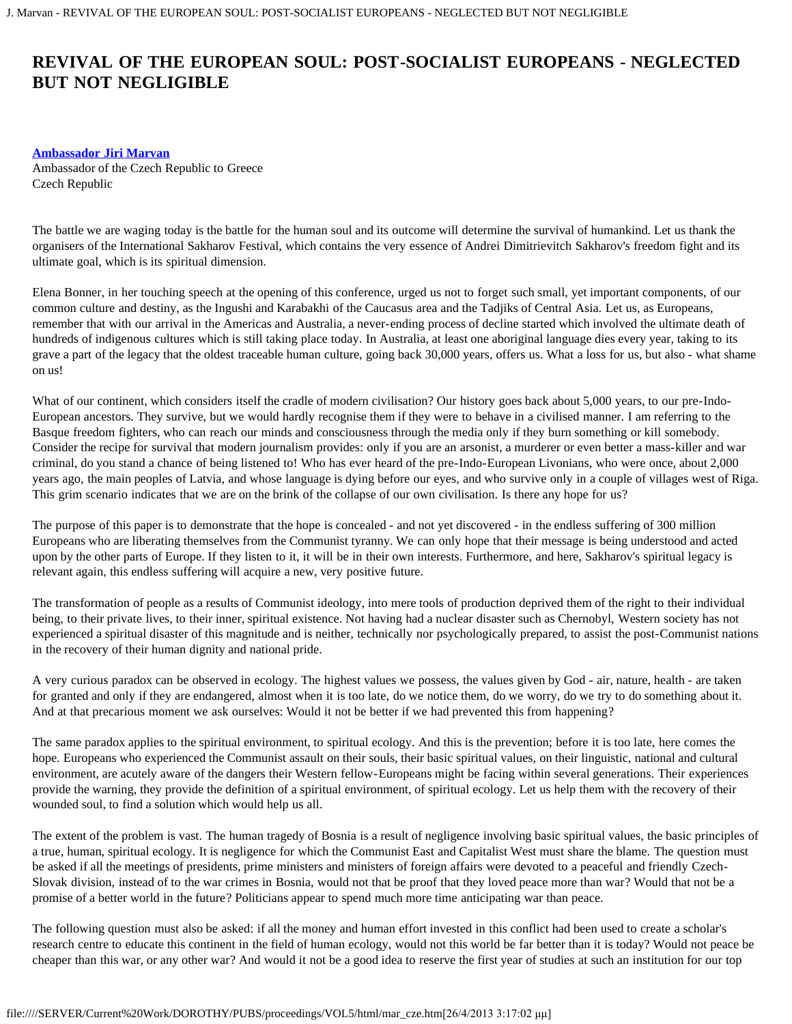## **REVIVAL OF THE EUROPEAN SOUL: POST-SOCIALIST EUROPEANS - NEGLECTED BUT NOT NEGLIGIBLE**

## **[Ambassador Jiri Marvan](#page-1-0)**

Ambassador of the Czech Republic to Greece Czech Republic

The battle we are waging today is the battle for the human soul and its outcome will determine the survival of humankind. Let us thank the organisers of the International Sakharov Festival, which contains the very essence of Andrei Dimitrievitch Sakharov's freedom fight and its ultimate goal, which is its spiritual dimension.

Elena Bonner, in her touching speech at the opening of this conference, urged us not to forget such small, yet important components, of our common culture and destiny, as the Ingushi and Karabakhi of the Caucasus area and the Tadjiks of Central Asia. Let us, as Europeans, remember that with our arrival in the Americas and Australia, a never-ending process of decline started which involved the ultimate death of hundreds of indigenous cultures which is still taking place today. In Australia, at least one aboriginal language dies every year, taking to its grave a part of the legacy that the oldest traceable human culture, going back 30,000 years, offers us. What a loss for us, but also - what shame on us!

What of our continent, which considers itself the cradle of modern civilisation? Our history goes back about 5,000 years, to our pre-Indo-European ancestors. They survive, but we would hardly recognise them if they were to behave in a civilised manner. I am referring to the Basque freedom fighters, who can reach our minds and consciousness through the media only if they burn something or kill somebody. Consider the recipe for survival that modern journalism provides: only if you are an arsonist, a murderer or even better a mass-killer and war criminal, do you stand a chance of being listened to! Who has ever heard of the pre-Indo-European Livonians, who were once, about 2,000 years ago, the main peoples of Latvia, and whose language is dying before our eyes, and who survive only in a couple of villages west of Riga. This grim scenario indicates that we are on the brink of the collapse of our own civilisation. Is there any hope for us?

The purpose of this paper is to demonstrate that the hope is concealed - and not yet discovered - in the endless suffering of 300 million Europeans who are liberating themselves from the Communist tyranny. We can only hope that their message is being understood and acted upon by the other parts of Europe. If they listen to it, it will be in their own interests. Furthermore, and here, Sakharov's spiritual legacy is relevant again, this endless suffering will acquire a new, very positive future.

The transformation of people as a results of Communist ideology, into mere tools of production deprived them of the right to their individual being, to their private lives, to their inner, spiritual existence. Not having had a nuclear disaster such as Chernobyl, Western society has not experienced a spiritual disaster of this magnitude and is neither, technically nor psychologically prepared, to assist the post-Communist nations in the recovery of their human dignity and national pride.

A very curious paradox can be observed in ecology. The highest values we possess, the values given by God - air, nature, health - are taken for granted and only if they are endangered, almost when it is too late, do we notice them, do we worry, do we try to do something about it. And at that precarious moment we ask ourselves: Would it not be better if we had prevented this from happening?

The same paradox applies to the spiritual environment, to spiritual ecology. And this is the prevention; before it is too late, here comes the hope. Europeans who experienced the Communist assault on their souls, their basic spiritual values, on their linguistic, national and cultural environment, are acutely aware of the dangers their Western fellow-Europeans might be facing within several generations. Their experiences provide the warning, they provide the definition of a spiritual environment, of spiritual ecology. Let us help them with the recovery of their wounded soul, to find a solution which would help us all.

The extent of the problem is vast. The human tragedy of Bosnia is a result of negligence involving basic spiritual values, the basic principles of a true, human, spiritual ecology. It is negligence for which the Communist East and Capitalist West must share the blame. The question must be asked if all the meetings of presidents, prime ministers and ministers of foreign affairs were devoted to a peaceful and friendly Czech-Slovak division, instead of to the war crimes in Bosnia, would not that be proof that they loved peace more than war? Would that not be a promise of a better world in the future? Politicians appear to spend much more time anticipating war than peace.

The following question must also be asked: if all the money and human effort invested in this conflict had been used to create a scholar's research centre to educate this continent in the field of human ecology, would not this world be far better than it is today? Would not peace be cheaper than this war, or any other war? And would it not be a good idea to reserve the first year of studies at such an institution for our top